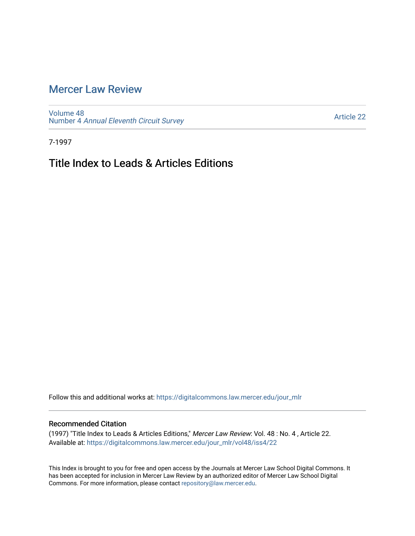## [Mercer Law Review](https://digitalcommons.law.mercer.edu/jour_mlr)

[Volume 48](https://digitalcommons.law.mercer.edu/jour_mlr/vol48) Number 4 [Annual Eleventh Circuit Survey](https://digitalcommons.law.mercer.edu/jour_mlr/vol48/iss4) 

[Article 22](https://digitalcommons.law.mercer.edu/jour_mlr/vol48/iss4/22) 

7-1997

## Title Index to Leads & Articles Editions

Follow this and additional works at: [https://digitalcommons.law.mercer.edu/jour\\_mlr](https://digitalcommons.law.mercer.edu/jour_mlr?utm_source=digitalcommons.law.mercer.edu%2Fjour_mlr%2Fvol48%2Fiss4%2F22&utm_medium=PDF&utm_campaign=PDFCoverPages)

## Recommended Citation

(1997) "Title Index to Leads & Articles Editions," Mercer Law Review: Vol. 48 : No. 4 , Article 22. Available at: [https://digitalcommons.law.mercer.edu/jour\\_mlr/vol48/iss4/22](https://digitalcommons.law.mercer.edu/jour_mlr/vol48/iss4/22?utm_source=digitalcommons.law.mercer.edu%2Fjour_mlr%2Fvol48%2Fiss4%2F22&utm_medium=PDF&utm_campaign=PDFCoverPages) 

This Index is brought to you for free and open access by the Journals at Mercer Law School Digital Commons. It has been accepted for inclusion in Mercer Law Review by an authorized editor of Mercer Law School Digital Commons. For more information, please contact [repository@law.mercer.edu.](mailto:repository@law.mercer.edu)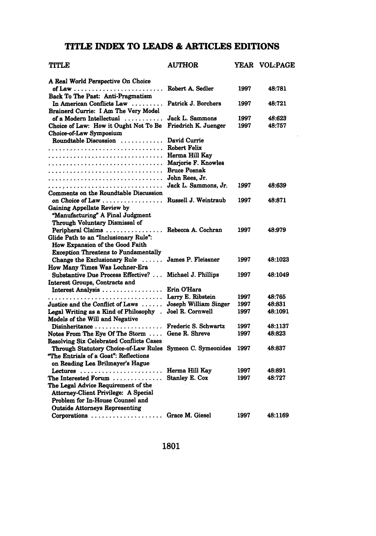## **TITLE INDEX TO LEADS & ARTICLES EDITIONS**

| TITLE                                                                       | <b>AUTHOR</b>                    |              | YEAR VOL:PAGE    |
|-----------------------------------------------------------------------------|----------------------------------|--------------|------------------|
| A Real World Perspective On Choice                                          |                                  |              |                  |
| of Law $\ldots \ldots \ldots \ldots \ldots \ldots \ldots \ldots$            | Robert A. Sedler                 | 1997         | 48:781           |
| Back To The Past: Anti-Pragmatism                                           |                                  |              |                  |
| In American Conflicts Law                                                   | Patrick J. Borchers              | 1997         | 48:721           |
| Brainerd Currie: I Am The Very Model                                        |                                  |              |                  |
| of a Modern Intellectual                                                    | Jack L. Sammons                  | 1997         | 48:623           |
| Choice of Law: How it Ought Not To Be                                       | Friedrich K. Juenger             | 1997         | 48:757           |
| Choice-of-Law Symposium                                                     |                                  |              |                  |
| Roundtable Discussion                                                       | David Currie                     |              |                  |
|                                                                             | <b>Robert Felix</b>              |              |                  |
|                                                                             | Herma Hill Kay                   |              |                  |
|                                                                             | Marjorie F. Knowles              |              |                  |
|                                                                             | <b>Bruce Posnak</b>              |              |                  |
|                                                                             | John Rees, Jr.                   |              |                  |
|                                                                             | Jack L. Sammons, Jr.             | 1997         | 48:639           |
| Comments on the Roundtable Discussion                                       |                                  |              |                  |
| on Choice of Law                                                            | Russell J. Weintraub             | 1997         | 48:871           |
| Gaining Appellate Review by                                                 |                                  |              |                  |
| "Manufacturing" A Final Judgment                                            |                                  |              |                  |
| Through Voluntary Dismissal of                                              |                                  |              |                  |
| Peripheral Claims                                                           | Rebecca A. Cochran               | 1997         | 48:979           |
| Glide Path to an "Inclusionary Rule":                                       |                                  |              |                  |
| How Expansion of the Good Faith                                             |                                  |              |                  |
| <b>Exception Threatens to Fundamentally</b>                                 |                                  |              |                  |
| Change the Exclusionary Rule $\dots$                                        | James P. Fleissner               | 1997         | 48:1023          |
| How Many Times Was Lochner-Era                                              |                                  |              |                  |
| Substantive Due Process Effective?                                          | Michael J. Phillips              | 1997         | 48:1049          |
| Interest Groups, Contracts and                                              |                                  |              |                  |
| Interest Analysis                                                           | Erin O'Hara                      |              |                  |
|                                                                             | Larry E. Ribstein                | 1997         | 48:765           |
| Justice and the Conflict of Laws                                            | Joseph William Singer            | 1997         | 48:831           |
| Legal Writing as a Kind of Philosophy.                                      | Joel R. Cornwell                 | 1997         | 48:1091          |
| Models of the Will and Negative                                             |                                  |              |                  |
| $Disinheritance \ldots \ldots \ldots \ldots \ldots$                         | Frederic S. Schwartz             | 1997         | 48:1137          |
| Notes From The Eye Of The Storm $\dots$                                     | Gene R. Shreve                   | 1997         | 48:823           |
| <b>Resolving Six Celebrated Conflicts Cases</b>                             |                                  |              |                  |
| Through Statutory Choice-of-Law Rules Symeon C. Symeonides                  |                                  | 1997         | 48:837           |
| "The Entrials of a Goat": Reflections                                       |                                  |              |                  |
| on Reading Lea Brilmayer's Hague                                            |                                  |              |                  |
|                                                                             | Herma Hill Kay<br>Stanley E. Cox | 1997<br>1997 | 48:891<br>48:727 |
| The Interested Forum $\ldots \ldots \ldots \ldots$                          |                                  |              |                  |
| The Legal Advice Requirement of the<br>Attorney-Client Privilege: A Special |                                  |              |                  |
| Problem for In-House Counsel and                                            |                                  |              |                  |
|                                                                             |                                  |              |                  |
| Outside Attorneys Representing                                              |                                  | 1997         | 48:1169          |
| Corporations  Grace M. Giesel                                               |                                  |              |                  |